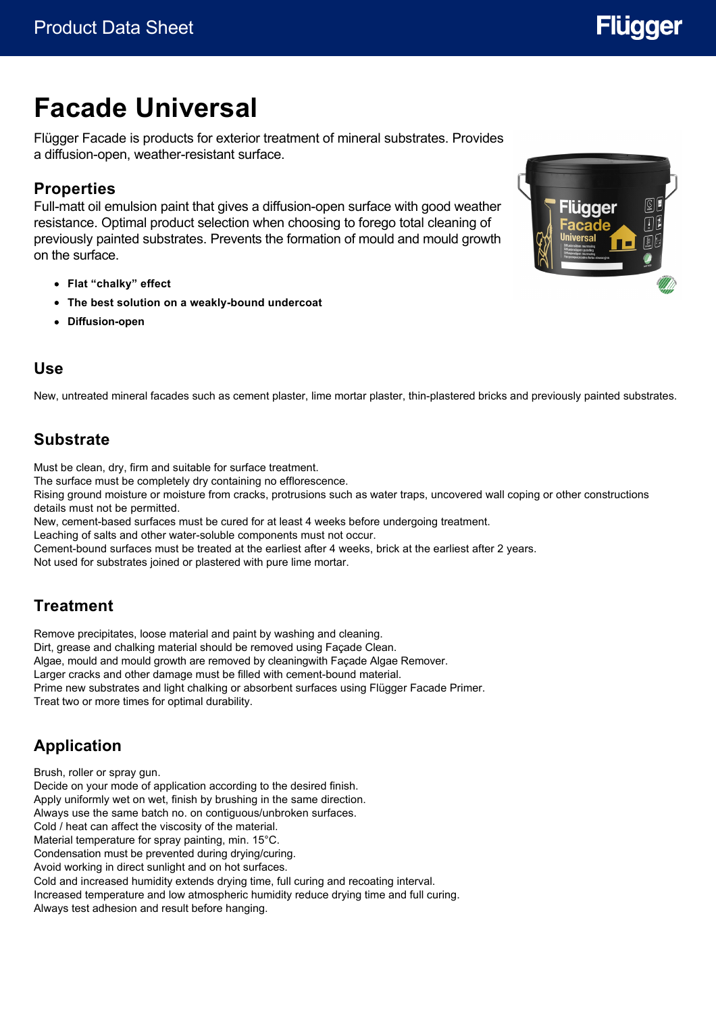# **Flügger**

# **Facade Universal**

Flügger Facade is products for exterior treatment of mineral substrates. Provides a diffusion-open, weather-resistant surface.

# **Properties**

Full-matt oil emulsion paint that gives a diffusion-open surface with good weather resistance. Optimal product selection when choosing to forego total cleaning of previously painted substrates. Prevents the formation of mould and mould growth on the surface.

- **Flat "chalky" effect**
- **The best solution on a weakly-bound undercoat**
- **Diffusion-open**



#### **Use**

New, untreated mineral facades such as cement plaster, lime mortar plaster, thin-plastered bricks and previously painted substrates.

### **Substrate**

Must be clean, dry, firm and suitable for surface treatment.

The surface must be completely dry containing no efflorescence.

Rising ground moisture or moisture from cracks, protrusions such as water traps, uncovered wall coping or other constructions details must not be permitted.

New, cement-based surfaces must be cured for at least 4 weeks before undergoing treatment.

Leaching of salts and other water-soluble components must not occur.

Cement-bound surfaces must be treated at the earliest after 4 weeks, brick at the earliest after 2 years.

Not used for substrates joined or plastered with pure lime mortar.

### **Treatment**

Remove precipitates, loose material and paint by washing and cleaning. Dirt, grease and chalking material should be removed using Façade Clean. Algae, mould and mould growth are removed by cleaningwith Façade Algae Remover. Larger cracks and other damage must be filled with cement-bound material. Prime new substrates and light chalking or absorbent surfaces using Flügger Facade Primer. Treat two or more times for optimal durability.

# **Application**

Brush, roller or spray gun. Decide on your mode of application according to the desired finish. Apply uniformly wet on wet, finish by brushing in the same direction. Always use the same batch no. on contiguous/unbroken surfaces. Cold / heat can affect the viscosity of the material. Material temperature for spray painting, min. 15°C. Condensation must be prevented during drying/curing. Avoid working in direct sunlight and on hot surfaces. Cold and increased humidity extends drying time, full curing and recoating interval. Increased temperature and low atmospheric humidity reduce drying time and full curing. Always test adhesion and result before hanging.